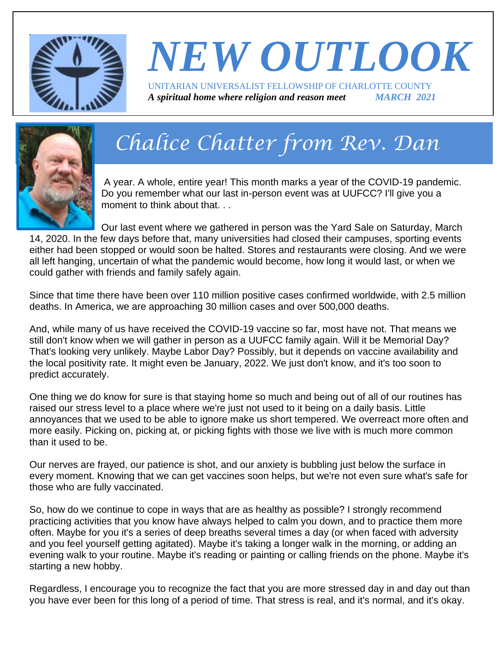

### *NEW OUTLOOK* UNITARIAN UNIVERSALIST FELLOWSHIP OF CHARLOTTE COUNTY *A spiritual home where religion and reason meet MARCH 2021*



# *Chalice Chatter from Rev. Dan*

A year. A whole, entire year! This month marks a year of the COVID-19 pandemic. Do you remember what our last in-person event was at UUFCC? I'll give you a moment to think about that.

Our last event where we gathered in person was the Yard Sale on Saturday, March 14, 2020. In the few days before that, many universities had closed their campuses, sporting events either had been stopped or would soon be halted. Stores and restaurants were closing. And we were all left hanging, uncertain of what the pandemic would become, how long it would last, or when we could gather with friends and family safely again.

Since that time there have been over 110 million positive cases confirmed worldwide, with 2.5 million deaths. In America, we are approaching 30 million cases and over 500,000 deaths.

And, while many of us have received the COVID-19 vaccine so far, most have not. That means we still don't know when we will gather in person as a UUFCC family again. Will it be Memorial Day? That's looking very unlikely. Maybe Labor Day? Possibly, but it depends on vaccine availability and the local positivity rate. It might even be January, 2022. We just don't know, and it's too soon to predict accurately.

One thing we do know for sure is that staying home so much and being out of all of our routines has raised our stress level to a place where we're just not used to it being on a daily basis. Little annoyances that we used to be able to ignore make us short tempered. We overreact more often and more easily. Picking on, picking at, or picking fights with those we live with is much more common than it used to be.

Our nerves are frayed, our patience is shot, and our anxiety is bubbling just below the surface in every moment. Knowing that we can get vaccines soon helps, but we're not even sure what's safe for those who are fully vaccinated.

So, how do we continue to cope in ways that are as healthy as possible? I strongly recommend practicing activities that you know have always helped to calm you down, and to practice them more often. Maybe for you it's a series of deep breaths several times a day (or when faced with adversity and you feel yourself getting agitated). Maybe it's taking a longer walk in the morning, or adding an evening walk to your routine. Maybe it's reading or painting or calling friends on the phone. Maybe it's starting a new hobby.

Regardless, I encourage you to recognize the fact that you are more stressed day in and day out than you have ever been for this long of a period of time. That stress is real, and it's normal, and it's okay.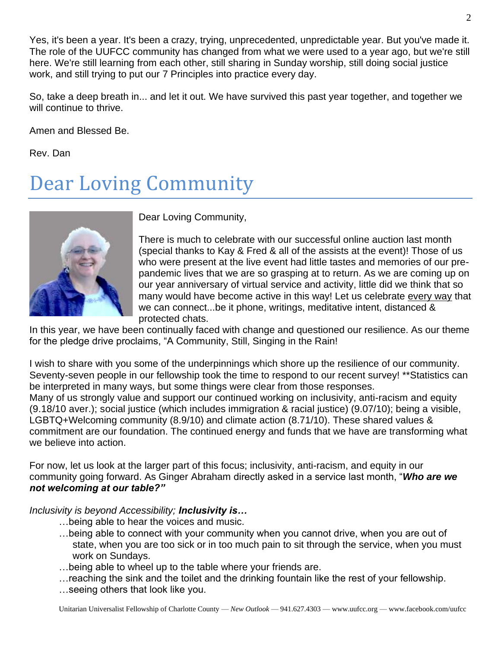Yes, it's been a year. It's been a crazy, trying, unprecedented, unpredictable year. But you've made it. The role of the UUFCC community has changed from what we were used to a year ago, but we're still here. We're still learning from each other, still sharing in Sunday worship, still doing social justice work, and still trying to put our 7 Principles into practice every day.

So, take a deep breath in... and let it out. We have survived this past year together, and together we will continue to thrive.

Amen and Blessed Be.

Rev. Dan

## Dear Loving Community



Dear Loving Community,

There is much to celebrate with our successful online auction last month (special thanks to Kay & Fred & all of the assists at the event)! Those of us who were present at the live event had little tastes and memories of our prepandemic lives that we are so grasping at to return. As we are coming up on our year anniversary of virtual service and activity, little did we think that so many would have become active in this way! Let us celebrate every way that we can connect...be it phone, writings, meditative intent, distanced & protected chats.

In this year, we have been continually faced with change and questioned our resilience. As our theme for the pledge drive proclaims, "A Community, Still, Singing in the Rain!

I wish to share with you some of the underpinnings which shore up the resilience of our community. Seventy-seven people in our fellowship took the time to respond to our recent survey! \*\*Statistics can be interpreted in many ways, but some things were clear from those responses. Many of us strongly value and support our continued working on inclusivity, anti-racism and equity (9.18/10 aver.); social justice (which includes immigration & racial justice) (9.07/10); being a visible, LGBTQ+Welcoming community (8.9/10) and climate action (8.71/10). These shared values & commitment are our foundation. The continued energy and funds that we have are transforming what we believe into action.

For now, let us look at the larger part of this focus; inclusivity, anti-racism, and equity in our community going forward. As Ginger Abraham directly asked in a service last month, "*Who are we not welcoming at our table?"*

*Inclusivity is beyond Accessibility; Inclusivity is…*

- …being able to hear the voices and music.
- …being able to connect with your community when you cannot drive, when you are out of state, when you are too sick or in too much pain to sit through the service, when you must work on Sundays.
- …being able to wheel up to the table where your friends are.
- …reaching the sink and the toilet and the drinking fountain like the rest of your fellowship.
- …seeing others that look like you.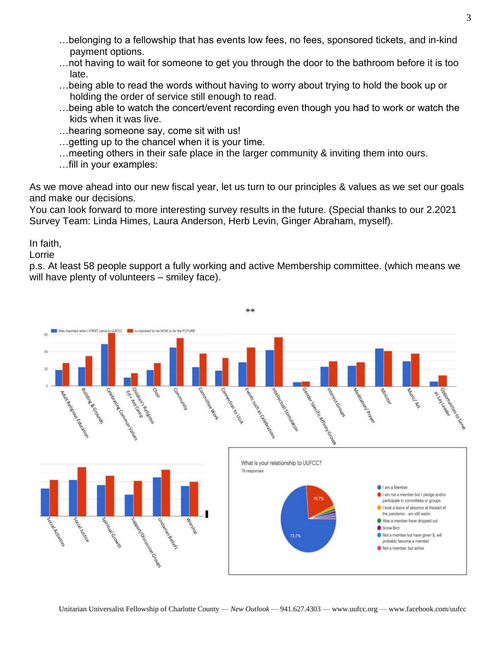- …belonging to a fellowship that has events low fees, no fees, sponsored tickets, and in-kind payment options.
- …not having to wait for someone to get you through the door to the bathroom before it is too late.
- …being able to read the words without having to worry about trying to hold the book up or holding the order of service still enough to read.
- …being able to watch the concert/event recording even though you had to work or watch the kids when it was live.
- …hearing someone say, come sit with us!
- …getting up to the chancel when it is your time.
- …meeting others in their safe place in the larger community & inviting them into ours.
- …fill in your examples:

As we move ahead into our new fiscal year, let us turn to our principles & values as we set our goals and make our decisions.

You can look forward to more interesting survey results in the future. (Special thanks to our 2.2021 Survey Team: Linda Himes, Laura Anderson, Herb Levin, Ginger Abraham, myself).

In faith,

Lorrie

p.s. At least 58 people support a fully working and active Membership committee. (which means we will have plenty of volunteers – smiley face).

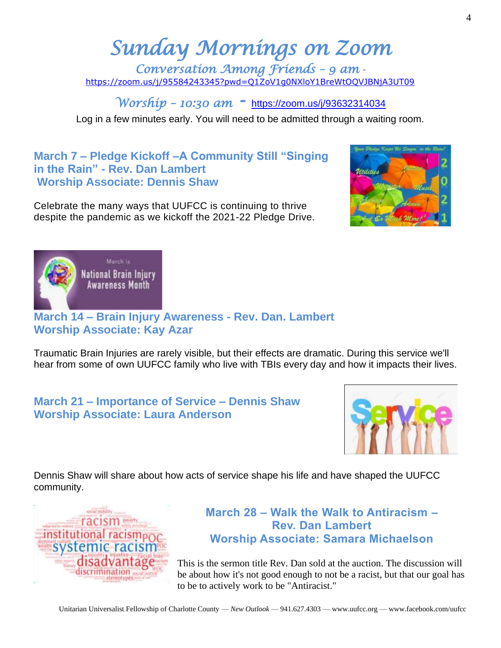## *Sunday Mornings on Zoom*

*Conversation Among Friends – 9 am*  <https://zoom.us/j/95584243345?pwd=Q1ZoV1g0NXloY1BreWtOQVJBNjA3UT09>

*Worship – 10:30 am -* <https://zoom.us/j/93632314034>

Log in a few minutes early. You will need to be admitted through a waiting room.

#### **March 7 – Pledge Kickoff –A Community Still "Singing in the Rain" - Rev. Dan Lambert Worship Associate: Dennis Shaw**

Celebrate the many ways that UUFCC is continuing to thrive despite the pandemic as we kickoff the 2021-22 Pledge Drive.





#### **March 14 – Brain Injury Awareness - Rev. Dan. Lambert Worship Associate: Kay Azar**

Traumatic Brain Injuries are rarely visible, but their effects are dramatic. During this service we'll hear from some of own UUFCC family who live with TBIs every day and how it impacts their lives.

#### **March 21 – Importance of Service – Dennis Shaw Worship Associate: Laura Anderson**



Dennis Shaw will share about how acts of service shape his life and have shaped the UUFCC community.



#### **March 28 – Walk the Walk to Antiracism – Rev. Dan Lambert Worship Associate: Samara Michaelson**

This is the sermon title Rev. Dan sold at the auction. The discussion will be about how it's not good enough to not be a racist, but that our goal has to be to actively work to be "Antiracist."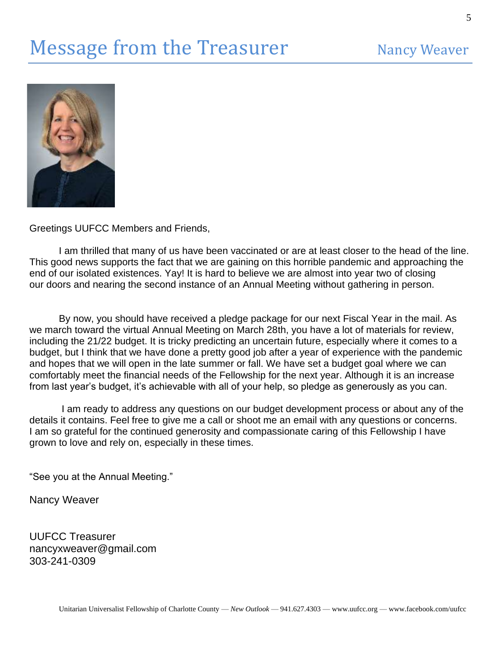

Greetings UUFCC Members and Friends,

I am thrilled that many of us have been vaccinated or are at least closer to the head of the line. This good news supports the fact that we are gaining on this horrible pandemic and approaching the end of our isolated existences. Yay! It is hard to believe we are almost into year two of closing our doors and nearing the second instance of an Annual Meeting without gathering in person.

By now, you should have received a pledge package for our next Fiscal Year in the mail. As we march toward the virtual Annual Meeting on March 28th, you have a lot of materials for review, including the 21/22 budget. It is tricky predicting an uncertain future, especially where it comes to a budget, but I think that we have done a pretty good job after a year of experience with the pandemic and hopes that we will open in the late summer or fall. We have set a budget goal where we can comfortably meet the financial needs of the Fellowship for the next year. Although it is an increase from last year's budget, it's achievable with all of your help, so pledge as generously as you can.

I am ready to address any questions on our budget development process or about any of the details it contains. Feel free to give me a call or shoot me an email with any questions or concerns. I am so grateful for the continued generosity and compassionate caring of this Fellowship I have grown to love and rely on, especially in these times.

"See you at the Annual Meeting."

Nancy Weaver

UUFCC Treasurer nancyxweaver@gmail.com 303-241-0309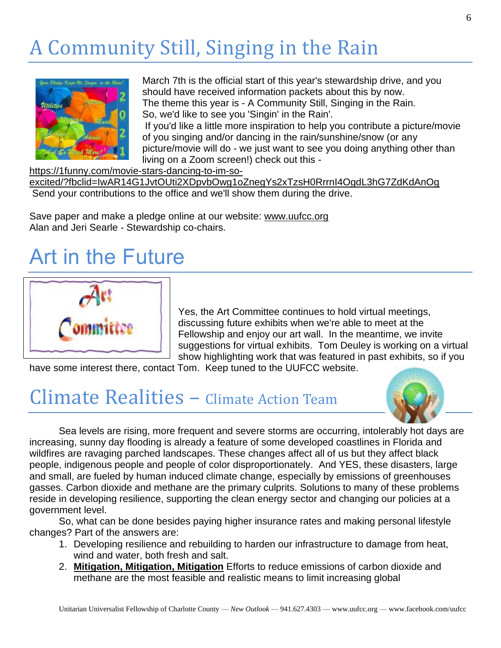## A Community Still, Singing in the Rain



March 7th is the official start of this year's stewardship drive, and you should have received information packets about this by now. The theme this year is - A Community Still, Singing in the Rain. So, we'd like to see you 'Singin' in the Rain'. If you'd like a little more inspiration to help you contribute a picture/movie of you singing and/or dancing in the rain/sunshine/snow (or any picture/movie will do - we just want to see you doing anything other than living on a Zoom screen!) check out this -

#### [https://1funny.com/movie-stars-dancing-to-im-so-](https://1funny.com/movie-stars-dancing-to-im-so-excited/?fbclid=IwAR14G1JvtOUti2XDpvbOwg1oZnegYs2xTzsH0RrrnI4OgdL3hG7ZdKdAnOg)

[excited/?fbclid=IwAR14G1JvtOUti2XDpvbOwg1oZnegYs2xTzsH0RrrnI4OgdL3hG7ZdKdAnOg](https://1funny.com/movie-stars-dancing-to-im-so-excited/?fbclid=IwAR14G1JvtOUti2XDpvbOwg1oZnegYs2xTzsH0RrrnI4OgdL3hG7ZdKdAnOg) Send your contributions to the office and we'll show them during the drive.

Save paper and make a pledge online at our website: [www.uufcc.org](http://www.uufcc.org/) Alan and Jeri Searle - Stewardship co-chairs.

### Art in the Future



Yes, the Art Committee continues to hold virtual meetings, discussing future exhibits when we're able to meet at the Fellowship and enjoy our art wall. In the meantime, we invite suggestions for virtual exhibits. Tom Deuley is working on a virtual show highlighting work that was featured in past exhibits, so if you

have some interest there, contact Tom. Keep tuned to the UUFCC website.

### Climate Realities – Climate Action Team



Sea levels are rising, more frequent and severe storms are occurring, intolerably hot days are increasing, sunny day flooding is already a feature of some developed coastlines in Florida and wildfires are ravaging parched landscapes. These changes affect all of us but they affect black people, indigenous people and people of color disproportionately. And YES, these disasters, large and small, are fueled by human induced climate change, especially by emissions of greenhouses gasses. Carbon dioxide and methane are the primary culprits. Solutions to many of these problems reside in developing resilience, supporting the clean energy sector and changing our policies at a government level.

 So, what can be done besides paying higher insurance rates and making personal lifestyle changes? Part of the answers are:

- 1. Developing resilience and rebuilding to harden our infrastructure to damage from heat, wind and water, both fresh and salt.
- 2. **Mitigation, Mitigation, Mitigation** Efforts to reduce emissions of carbon dioxide and methane are the most feasible and realistic means to limit increasing global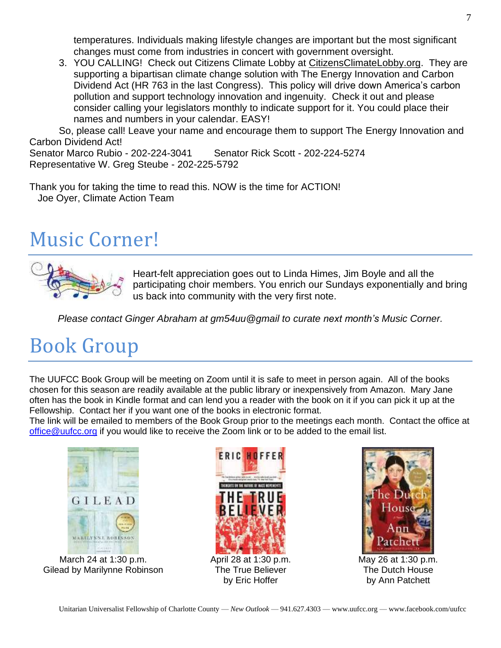temperatures. Individuals making lifestyle changes are important but the most significant changes must come from industries in concert with government oversight.

3. YOU CALLING! Check out Citizens Climate Lobby at [CitizensClimateLobby.org.](http://citizensclimatelobby.org/) They are supporting a bipartisan climate change solution with The Energy Innovation and Carbon Dividend Act (HR 763 in the last Congress). This policy will drive down America's carbon pollution and support technology innovation and ingenuity. Check it out and please consider calling your legislators monthly to indicate support for it. You could place their names and numbers in your calendar. EASY!

So, please call! Leave your name and encourage them to support The Energy Innovation and Carbon Dividend Act!

Senator Marco Rubio - 202-224-3041 Senator Rick Scott - 202-224-5274 Representative W. Greg Steube - 202-225-5792

Thank you for taking the time to read this. NOW is the time for ACTION! Joe Oyer, Climate Action Team

### Music Corner!



Heart-felt appreciation goes out to Linda Himes, Jim Boyle and all the participating choir members. You enrich our Sundays exponentially and bring us back into community with the very first note.

*Please contact Ginger Abraham at gm54uu@gmail to curate next month's Music Corner.*

## Book Group

The UUFCC Book Group will be meeting on Zoom until it is safe to meet in person again. All of the books chosen for this season are readily available at the public library or inexpensively from Amazon. Mary Jane often has the book in Kindle format and can lend you a reader with the book on it if you can pick it up at the Fellowship. Contact her if you want one of the books in electronic format.

The link will be emailed to members of the Book Group prior to the meetings each month. Contact the office at [office@uufcc.org](mailto:office@uufcc.org) if you would like to receive the Zoom link or to be added to the email list.



March 24 at 1:30 p.m. Gilead by Marilynne Robinson



May 26 at 1:30 p.m. The Dutch House by Ann Patchett